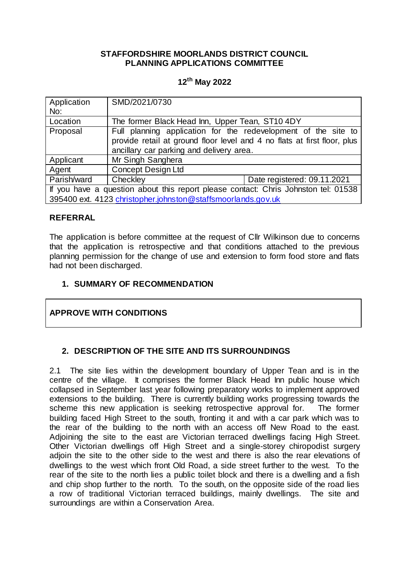### **STAFFORDSHIRE MOORLANDS DISTRICT COUNCIL PLANNING APPLICATIONS COMMITTEE**

## **12th May 2022**

| Application<br>No:                                                                 | SMD/2021/0730                                                                                                                                                                          |                             |
|------------------------------------------------------------------------------------|----------------------------------------------------------------------------------------------------------------------------------------------------------------------------------------|-----------------------------|
| Location                                                                           | The former Black Head Inn, Upper Tean, ST10 4DY                                                                                                                                        |                             |
| Proposal                                                                           | Full planning application for the redevelopment of the site to<br>provide retail at ground floor level and 4 no flats at first floor, plus<br>ancillary car parking and delivery area. |                             |
| Applicant                                                                          | Mr Singh Sanghera                                                                                                                                                                      |                             |
| Agent                                                                              | <b>Concept Design Ltd</b>                                                                                                                                                              |                             |
| Parish/ward                                                                        | Checkley                                                                                                                                                                               | Date registered: 09.11.2021 |
| If you have a question about this report please contact: Chris Johnston tel: 01538 |                                                                                                                                                                                        |                             |
| 395400 ext. 4123 christopher.johnston@staffsmoorlands.gov.uk                       |                                                                                                                                                                                        |                             |

#### **REFERRAL**

The application is before committee at the request of Cllr Wilkinson due to concerns that the application is retrospective and that conditions attached to the previous planning permission for the change of use and extension to form food store and flats had not been discharged.

#### **1. SUMMARY OF RECOMMENDATION**

## **APPROVE WITH CONDITIONS**

#### **2. DESCRIPTION OF THE SITE AND ITS SURROUNDINGS**

2.1 The site lies within the development boundary of Upper Tean and is in the centre of the village. It comprises the former Black Head Inn public house which collapsed in September last year following preparatory works to implement approved extensions to the building. There is currently building works progressing towards the scheme this new application is seeking retrospective approval for. The former building faced High Street to the south, fronting it and with a car park which was to the rear of the building to the north with an access off New Road to the east. Adjoining the site to the east are Victorian terraced dwellings facing High Street. Other Victorian dwellings off High Street and a single-storey chiropodist surgery adjoin the site to the other side to the west and there is also the rear elevations of dwellings to the west which front Old Road, a side street further to the west. To the rear of the site to the north lies a public toilet block and there is a dwelling and a fish and chip shop further to the north. To the south, on the opposite side of the road lies a row of traditional Victorian terraced buildings, mainly dwellings. The site and surroundings are within a Conservation Area.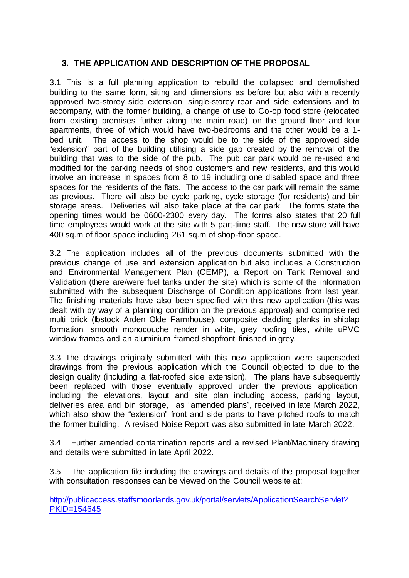# **3. THE APPLICATION AND DESCRIPTION OF THE PROPOSAL**

3.1 This is a full planning application to rebuild the collapsed and demolished building to the same form, siting and dimensions as before but also with a recently approved two-storey side extension, single-storey rear and side extensions and to accompany, with the former building, a change of use to Co-op food store (relocated from existing premises further along the main road) on the ground floor and four apartments, three of which would have two-bedrooms and the other would be a 1 bed unit. The access to the shop would be to the side of the approved side "extension" part of the building utilising a side gap created by the removal of the building that was to the side of the pub. The pub car park would be re-used and modified for the parking needs of shop customers and new residents, and this would involve an increase in spaces from 8 to 19 including one disabled space and three spaces for the residents of the flats. The access to the car park will remain the same as previous. There will also be cycle parking, cycle storage (for residents) and bin storage areas. Deliveries will also take place at the car park. The forms state the opening times would be 0600-2300 every day. The forms also states that 20 full time employees would work at the site with 5 part-time staff. The new store will have 400 sq.m of floor space including 261 sq.m of shop-floor space.

3.2 The application includes all of the previous documents submitted with the previous change of use and extension application but also includes a Construction and Environmental Management Plan (CEMP), a Report on Tank Removal and Validation (there are/were fuel tanks under the site) which is some of the information submitted with the subsequent Discharge of Condition applications from last year. The finishing materials have also been specified with this new application (this was dealt with by way of a planning condition on the previous approval) and comprise red multi brick (Ibstock Arden Olde Farmhouse), composite cladding planks in shiplap formation, smooth monocouche render in white, grey roofing tiles, white uPVC window frames and an aluminium framed shopfront finished in grey.

3.3 The drawings originally submitted with this new application were superseded drawings from the previous application which the Council objected to due to the design quality (including a flat-roofed side extension). The plans have subsequently been replaced with those eventually approved under the previous application, including the elevations, layout and site plan including access, parking layout, deliveries area and bin storage, as "amended plans", received in late March 2022, which also show the "extension" front and side parts to have pitched roofs to match the former building. A revised Noise Report was also submitted in late March 2022.

3.4 Further amended contamination reports and a revised Plant/Machinery drawing and details were submitted in late April 2022.

3.5 The application file including the drawings and details of the proposal together with consultation responses can be viewed on the Council website at:

[http://publicaccess.staffsmoorlands.gov.uk/portal/servlets/ApplicationSearchServlet?](http://publicaccess.staffsmoorlands.gov.uk/portal/servlets/ApplicationSearchServlet?PKID=154645) [PKID=154645](http://publicaccess.staffsmoorlands.gov.uk/portal/servlets/ApplicationSearchServlet?PKID=154645)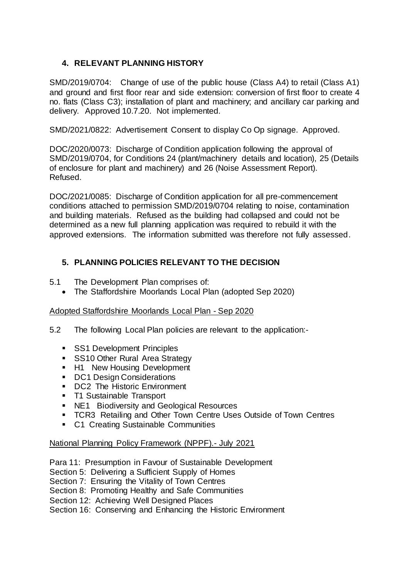# **4. RELEVANT PLANNING HISTORY**

SMD/2019/0704: Change of use of the public house (Class A4) to retail (Class A1) and ground and first floor rear and side extension: conversion of first floor to create 4 no. flats (Class C3); installation of plant and machinery; and ancillary car parking and delivery. Approved 10.7.20. Not implemented.

SMD/2021/0822: Advertisement Consent to display Co Op signage. Approved.

DOC/2020/0073: Discharge of Condition application following the approval of SMD/2019/0704, for Conditions 24 (plant/machinery details and location), 25 (Details of enclosure for plant and machinery) and 26 (Noise Assessment Report). Refused.

DOC/2021/0085: Discharge of Condition application for all pre-commencement conditions attached to permission SMD/2019/0704 relating to noise, contamination and building materials. Refused as the building had collapsed and could not be determined as a new full planning application was required to rebuild it with the approved extensions. The information submitted was therefore not fully assessed.

# **5. PLANNING POLICIES RELEVANT TO THE DECISION**

- 5.1 The Development Plan comprises of:
	- The Staffordshire Moorlands Local Plan (adopted Sep 2020)

#### Adopted Staffordshire Moorlands Local Plan - Sep 2020

- 5.2 The following Local Plan policies are relevant to the application:-
	- **SS1 Development Principles**
	- **SS10 Other Rural Area Strategy**
	- H1 New Housing Development
	- DC1 Design Considerations
	- DC2 The Historic Environment
	- **T1 Sustainable Transport**
	- NE1 Biodiversity and Geological Resources
	- **TCR3 Retailing and Other Town Centre Uses Outside of Town Centres**
	- C1 Creating Sustainable Communities

#### National Planning Policy Framework (NPPF).- July 2021

- Para 11: Presumption in Favour of Sustainable Development
- Section 5: Delivering a Sufficient Supply of Homes

Section 7: Ensuring the Vitality of Town Centres

Section 8: Promoting Healthy and Safe Communities

Section 12: Achieving Well Designed Places

Section 16: Conserving and Enhancing the Historic Environment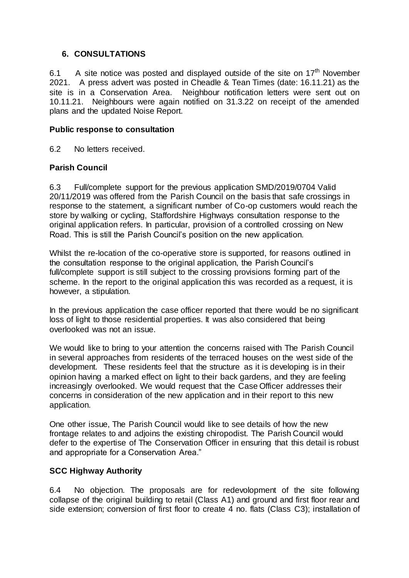### **6. CONSULTATIONS**

6.1  $\;\;$  A site notice was posted and displayed outside of the site on 17<sup>th</sup> November 2021. A press advert was posted in Cheadle & Tean Times (date: 16.11.21) as the site is in a Conservation Area. Neighbour notification letters were sent out on 10.11.21. Neighbours were again notified on 31.3.22 on receipt of the amended plans and the updated Noise Report.

### **Public response to consultation**

6.2 No letters received.

### **Parish Council**

6.3 Full/complete support for the previous application SMD/2019/0704 Valid 20/11/2019 was offered from the Parish Council on the basis that safe crossings in response to the statement, a significant number of Co-op customers would reach the store by walking or cycling, Staffordshire Highways consultation response to the original application refers. In particular, provision of a controlled crossing on New Road. This is still the Parish Council's position on the new application.

Whilst the re-location of the co-operative store is supported, for reasons outlined in the consultation response to the original application, the Parish Council's full/complete support is still subject to the crossing provisions forming part of the scheme. In the report to the original application this was recorded as a request, it is however, a stipulation.

In the previous application the case officer reported that there would be no significant loss of light to those residential properties. It was also considered that being overlooked was not an issue.

We would like to bring to your attention the concerns raised with The Parish Council in several approaches from residents of the terraced houses on the west side of the development. These residents feel that the structure as it is developing is in their opinion having a marked effect on light to their back gardens, and they are feeling increasingly overlooked. We would request that the Case Officer addresses their concerns in consideration of the new application and in their report to this new application.

One other issue, The Parish Council would like to see details of how the new frontage relates to and adjoins the existing chiropodist. The Parish Council would defer to the expertise of The Conservation Officer in ensuring that this detail is robust and appropriate for a Conservation Area."

## **SCC Highway Authority**

6.4 No objection. The proposals are for redevolopment of the site following collapse of the original building to retail (Class A1) and ground and first floor rear and side extension; conversion of first floor to create 4 no. flats (Class C3); installation of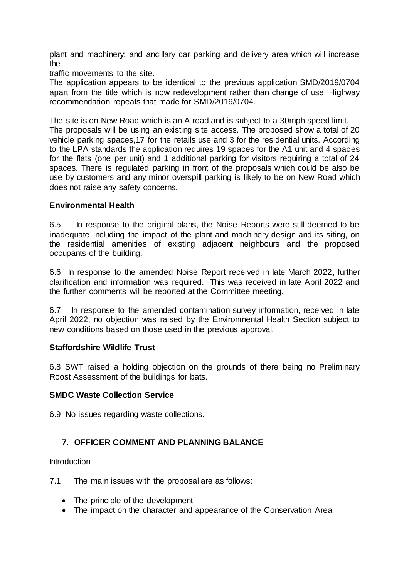plant and machinery; and ancillary car parking and delivery area which will increase the

traffic movements to the site.

The application appears to be identical to the previous application SMD/2019/0704 apart from the title which is now redevelopment rather than change of use. Highway recommendation repeats that made for SMD/2019/0704.

The site is on New Road which is an A road and is subject to a 30mph speed limit. The proposals will be using an existing site access. The proposed show a total of 20 vehicle parking spaces,17 for the retails use and 3 for the residential units. According to the LPA standards the application requires 19 spaces for the A1 unit and 4 spaces for the flats (one per unit) and 1 additional parking for visitors requiring a total of 24 spaces. There is regulated parking in front of the proposals which could be also be use by customers and any minor overspill parking is likely to be on New Road which does not raise any safety concerns.

#### **Environmental Health**

6.5 In response to the original plans, the Noise Reports were still deemed to be inadequate including the impact of the plant and machinery design and its siting, on the residential amenities of existing adjacent neighbours and the proposed occupants of the building.

6.6 In response to the amended Noise Report received in late March 2022, further clarification and information was required. This was received in late April 2022 and the further comments will be reported at the Committee meeting.

6.7 In response to the amended contamination survey information, received in late April 2022, no objection was raised by the Environmental Health Section subject to new conditions based on those used in the previous approval.

#### **Staffordshire Wildlife Trust**

6.8 SWT raised a holding objection on the grounds of there being no Preliminary Roost Assessment of the buildings for bats.

#### **SMDC Waste Collection Service**

6.9 No issues regarding waste collections.

## **7. OFFICER COMMENT AND PLANNING BALANCE**

#### **Introduction**

7.1 The main issues with the proposal are as follows:

- The principle of the development
- The impact on the character and appearance of the Conservation Area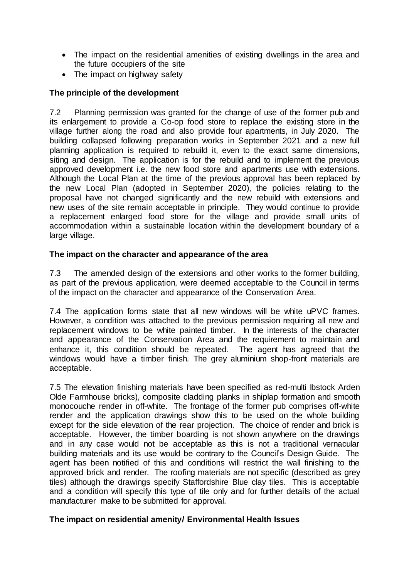- The impact on the residential amenities of existing dwellings in the area and the future occupiers of the site
- The impact on highway safety

# **The principle of the development**

7.2 Planning permission was granted for the change of use of the former pub and its enlargement to provide a Co-op food store to replace the existing store in the village further along the road and also provide four apartments, in July 2020. The building collapsed following preparation works in September 2021 and a new full planning application is required to rebuild it, even to the exact same dimensions, siting and design. The application is for the rebuild and to implement the previous approved development i.e. the new food store and apartments use with extensions. Although the Local Plan at the time of the previous approval has been replaced by the new Local Plan (adopted in September 2020), the policies relating to the proposal have not changed significantly and the new rebuild with extensions and new uses of the site remain acceptable in principle. They would continue to provide a replacement enlarged food store for the village and provide small units of accommodation within a sustainable location within the development boundary of a large village.

## **The impact on the character and appearance of the area**

7.3 The amended design of the extensions and other works to the former building, as part of the previous application, were deemed acceptable to the Council in terms of the impact on the character and appearance of the Conservation Area.

7.4 The application forms state that all new windows will be white uPVC frames. However, a condition was attached to the previous permission requiring all new and replacement windows to be white painted timber. In the interests of the character and appearance of the Conservation Area and the requirement to maintain and enhance it, this condition should be repeated. The agent has agreed that the windows would have a timber finish. The grey aluminium shop-front materials are acceptable.

7.5 The elevation finishing materials have been specified as red-multi Ibstock Arden Olde Farmhouse bricks), composite cladding planks in shiplap formation and smooth monocouche render in off-white. The frontage of the former pub comprises off-white render and the application drawings show this to be used on the whole building except for the side elevation of the rear projection. The choice of render and brick is acceptable. However, the timber boarding is not shown anywhere on the drawings and in any case would not be acceptable as this is not a traditional vernacular building materials and its use would be contrary to the Council's Design Guide. The agent has been notified of this and conditions will restrict the wall finishing to the approved brick and render. The roofing materials are not specific (described as grey tiles) although the drawings specify Staffordshire Blue clay tiles. This is acceptable and a condition will specify this type of tile only and for further details of the actual manufacturer make to be submitted for approval.

## **The impact on residential amenity/ Environmental Health Issues**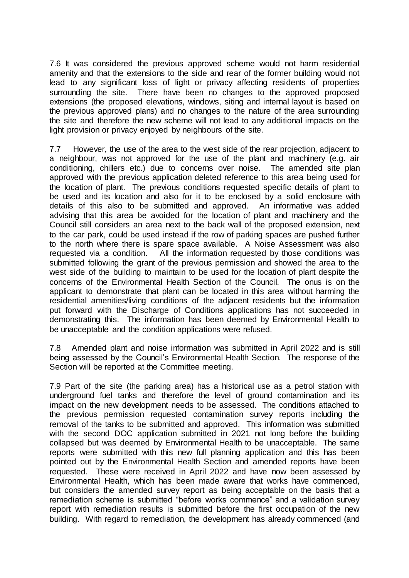7.6 It was considered the previous approved scheme would not harm residential amenity and that the extensions to the side and rear of the former building would not lead to any significant loss of light or privacy affecting residents of properties surrounding the site. There have been no changes to the approved proposed extensions (the proposed elevations, windows, siting and internal layout is based on the previous approved plans) and no changes to the nature of the area surrounding the site and therefore the new scheme will not lead to any additional impacts on the light provision or privacy enjoyed by neighbours of the site.

7.7 However, the use of the area to the west side of the rear projection, adjacent to a neighbour, was not approved for the use of the plant and machinery (e.g. air conditioning, chillers etc.) due to concerns over noise. The amended site plan approved with the previous application deleted reference to this area being used for the location of plant. The previous conditions requested specific details of plant to be used and its location and also for it to be enclosed by a solid enclosure with details of this also to be submitted and approved. An informative was added advising that this area be avoided for the location of plant and machinery and the Council still considers an area next to the back wall of the proposed extension, next to the car park, could be used instead if the row of parking spaces are pushed further to the north where there is spare space available. A Noise Assessment was also requested via a condition. All the information requested by those conditions was submitted following the grant of the previous permission and showed the area to the west side of the building to maintain to be used for the location of plant despite the concerns of the Environmental Health Section of the Council. The onus is on the applicant to demonstrate that plant can be located in this area without harming the residential amenities/living conditions of the adjacent residents but the information put forward with the Discharge of Conditions applications has not succeeded in demonstrating this. The information has been deemed by Environmental Health to be unacceptable and the condition applications were refused.

7.8 Amended plant and noise information was submitted in April 2022 and is still being assessed by the Council's Environmental Health Section. The response of the Section will be reported at the Committee meeting.

7.9 Part of the site (the parking area) has a historical use as a petrol station with underground fuel tanks and therefore the level of ground contamination and its impact on the new development needs to be assessed. The conditions attached to the previous permission requested contamination survey reports including the removal of the tanks to be submitted and approved. This information was submitted with the second DOC application submitted in 2021 not long before the building collapsed but was deemed by Environmental Health to be unacceptable. The same reports were submitted with this new full planning application and this has been pointed out by the Environmental Health Section and amended reports have been requested. These were received in April 2022 and have now been assessed by Environmental Health, which has been made aware that works have commenced, but considers the amended survey report as being acceptable on the basis that a remediation scheme is submitted "before works commence" and a validation survey report with remediation results is submitted before the first occupation of the new building. With regard to remediation, the development has already commenced (and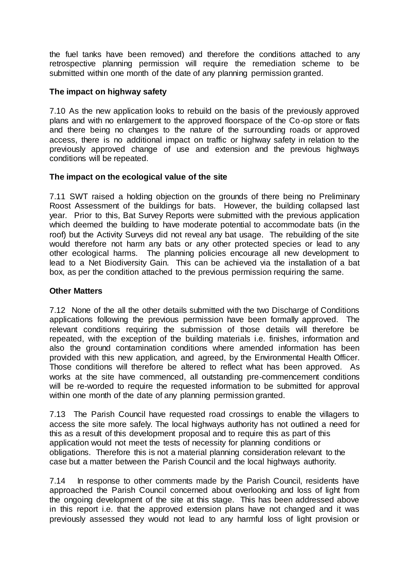the fuel tanks have been removed) and therefore the conditions attached to any retrospective planning permission will require the remediation scheme to be submitted within one month of the date of any planning permission granted.

### **The impact on highway safety**

7.10 As the new application looks to rebuild on the basis of the previously approved plans and with no enlargement to the approved floorspace of the Co-op store or flats and there being no changes to the nature of the surrounding roads or approved access, there is no additional impact on traffic or highway safety in relation to the previously approved change of use and extension and the previous highways conditions will be repeated.

### **The impact on the ecological value of the site**

7.11 SWT raised a holding objection on the grounds of there being no Preliminary Roost Assessment of the buildings for bats. However, the building collapsed last year. Prior to this, Bat Survey Reports were submitted with the previous application which deemed the building to have moderate potential to accommodate bats (in the roof) but the Activity Surveys did not reveal any bat usage. The rebuilding of the site would therefore not harm any bats or any other protected species or lead to any other ecological harms. The planning policies encourage all new development to lead to a Net Biodiversity Gain. This can be achieved via the installation of a bat box, as per the condition attached to the previous permission requiring the same.

#### **Other Matters**

7.12 None of the all the other details submitted with the two Discharge of Conditions applications following the previous permission have been formally approved. The relevant conditions requiring the submission of those details will therefore be repeated, with the exception of the building materials i.e. finishes, information and also the ground contamination conditions where amended information has been provided with this new application, and agreed, by the Environmental Health Officer. Those conditions will therefore be altered to reflect what has been approved. As works at the site have commenced, all outstanding pre-commencement conditions will be re-worded to require the requested information to be submitted for approval within one month of the date of any planning permission granted.

7.13 The Parish Council have requested road crossings to enable the villagers to access the site more safely. The local highways authority has not outlined a need for this as a result of this development proposal and to require this as part of this application would not meet the tests of necessity for planning conditions or obligations. Therefore this is not a material planning consideration relevant to the case but a matter between the Parish Council and the local highways authority.

7.14 In response to other comments made by the Parish Council, residents have approached the Parish Council concerned about overlooking and loss of light from the ongoing development of the site at this stage. This has been addressed above in this report i.e. that the approved extension plans have not changed and it was previously assessed they would not lead to any harmful loss of light provision or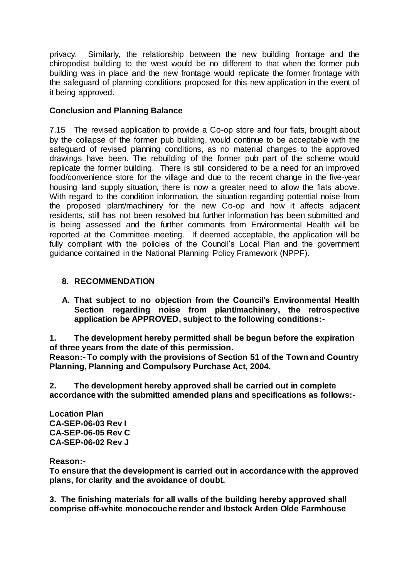privacy. Similarly, the relationship between the new building frontage and the chiropodist building to the west would be no different to that when the former pub building was in place and the new frontage would replicate the former frontage with the safeguard of planning conditions proposed for this new application in the event of it being approved.

## **Conclusion and Planning Balance**

7.15 The revised application to provide a Co-op store and four flats, brought about by the collapse of the former pub building, would continue to be acceptable with the safeguard of revised planning conditions, as no material changes to the approved drawings have been. The rebuilding of the former pub part of the scheme would replicate the former building. There is still considered to be a need for an improved food/convenience store for the village and due to the recent change in the five-year housing land supply situation, there is now a greater need to allow the flats above. With regard to the condition information, the situation regarding potential noise from the proposed plant/machinery for the new Co-op and how it affects adjacent residents, still has not been resolved but further information has been submitted and is being assessed and the further comments from Environmental Health will be reported at the Committee meeting. If deemed acceptable, the application will be fully compliant with the policies of the Council's Local Plan and the government guidance contained in the National Planning Policy Framework (NPPF).

## **8. RECOMMENDATION**

**A. That subject to no objection from the Council's Environmental Health Section regarding noise from plant/machinery, the retrospective application be APPROVED, subject to the following conditions:-**

**1. The development hereby permitted shall be begun before the expiration of three years from the date of this permission.**

**Reason:- To comply with the provisions of Section 51 of the Town and Country Planning, Planning and Compulsory Purchase Act, 2004.**

**2. The development hereby approved shall be carried out in complete accordance with the submitted amended plans and specifications as follows:-**

**Location Plan CA-SEP-06-03 Rev I CA-SEP-06-05 Rev C CA-SEP-06-02 Rev J**

**Reason:-**

**To ensure that the development is carried out in accordance with the approved plans, for clarity and the avoidance of doubt.**

**3. The finishing materials for all walls of the building hereby approved shall comprise off-white monocouche render and Ibstock Arden Olde Farmhouse**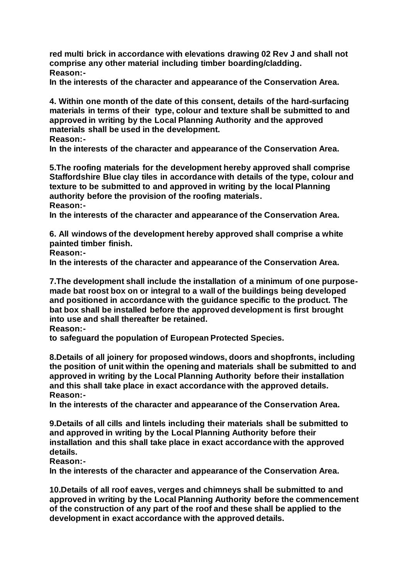**red multi brick in accordance with elevations drawing 02 Rev J and shall not comprise any other material including timber boarding/cladding. Reason:-**

**In the interests of the character and appearance of the Conservation Area.**

**4. Within one month of the date of this consent, details of the hard-surfacing materials in terms of their type, colour and texture shall be submitted to and approved in writing by the Local Planning Authority and the approved materials shall be used in the development.**

**Reason:-**

**In the interests of the character and appearance of the Conservation Area.**

**5.The roofing materials for the development hereby approved shall comprise Staffordshire Blue clay tiles in accordance with details of the type, colour and texture to be submitted to and approved in writing by the local Planning authority before the provision of the roofing materials. Reason:-**

**In the interests of the character and appearance of the Conservation Area.**

**6. All windows of the development hereby approved shall comprise a white painted timber finish.**

**Reason:-**

**In the interests of the character and appearance of the Conservation Area.**

**7.The development shall include the installation of a minimum of one purposemade bat roost box on or integral to a wall of the buildings being developed and positioned in accordance with the guidance specific to the product. The bat box shall be installed before the approved development is first brought into use and shall thereafter be retained.**

**Reason:-**

**to safeguard the population of European Protected Species.**

**8.Details of all joinery for proposed windows, doors and shopfronts, including the position of unit within the opening and materials shall be submitted to and approved in writing by the Local Planning Authority before their installation and this shall take place in exact accordance with the approved details. Reason:-**

**In the interests of the character and appearance of the Conservation Area.**

**9.Details of all cills and lintels including their materials shall be submitted to and approved in writing by the Local Planning Authority before their installation and this shall take place in exact accordance with the approved details.**

**Reason:-**

**In the interests of the character and appearance of the Conservation Area.**

**10.Details of all roof eaves, verges and chimneys shall be submitted to and approved in writing by the Local Planning Authority before the commencement of the construction of any part of the roof and these shall be applied to the development in exact accordance with the approved details.**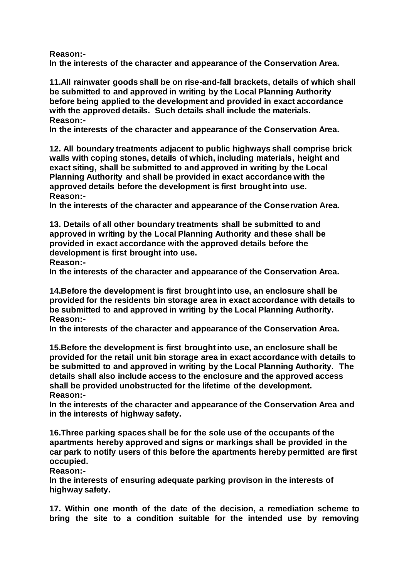**Reason:-**

**In the interests of the character and appearance of the Conservation Area.**

**11.All rainwater goods shall be on rise-and-fall brackets, details of which shall be submitted to and approved in writing by the Local Planning Authority before being applied to the development and provided in exact accordance with the approved details. Such details shall include the materials. Reason:-**

**In the interests of the character and appearance of the Conservation Area.**

**12. All boundary treatments adjacent to public highways shall comprise brick walls with coping stones, details of which, including materials, height and exact siting, shall be submitted to and approved in writing by the Local Planning Authority and shall be provided in exact accordance with the approved details before the development is first brought into use. Reason:-**

**In the interests of the character and appearance of the Conservation Area.**

**13. Details of all other boundary treatments shall be submitted to and approved in writing by the Local Planning Authority and these shall be provided in exact accordance with the approved details before the development is first brought into use.**

**Reason:-**

**In the interests of the character and appearance of the Conservation Area.**

**14.Before the development is first brought into use, an enclosure shall be provided for the residents bin storage area in exact accordance with details to be submitted to and approved in writing by the Local Planning Authority. Reason:-**

**In the interests of the character and appearance of the Conservation Area.**

**15.Before the development is first brought into use, an enclosure shall be provided for the retail unit bin storage area in exact accordance with details to be submitted to and approved in writing by the Local Planning Authority. The details shall also include access to the enclosure and the approved access shall be provided unobstructed for the lifetime of the development. Reason:-**

**In the interests of the character and appearance of the Conservation Area and in the interests of highway safety.**

**16.Three parking spaces shall be for the sole use of the occupants of the apartments hereby approved and signs or markings shall be provided in the car park to notify users of this before the apartments hereby permitted are first occupied.**

**Reason:-**

**In the interests of ensuring adequate parking provison in the interests of highway safety.**

**17. Within one month of the date of the decision, a remediation scheme to bring the site to a condition suitable for the intended use by removing**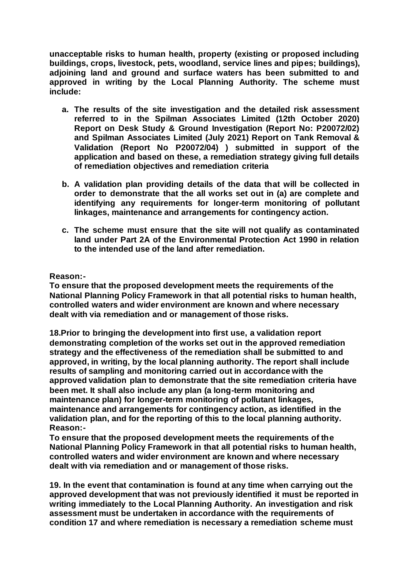**unacceptable risks to human health, property (existing or proposed including buildings, crops, livestock, pets, woodland, service lines and pipes; buildings), adjoining land and ground and surface waters has been submitted to and approved in writing by the Local Planning Authority. The scheme must include:**

- **a. The results of the site investigation and the detailed risk assessment referred to in the Spilman Associates Limited (12th October 2020) Report on Desk Study & Ground Investigation (Report No: P20072/02) and Spilman Associates Limited (July 2021) Report on Tank Removal & Validation (Report No P20072/04) ) submitted in support of the application and based on these, a remediation strategy giving full details of remediation objectives and remediation criteria**
- **b. A validation plan providing details of the data that will be collected in order to demonstrate that the all works set out in (a) are complete and identifying any requirements for longer-term monitoring of pollutant linkages, maintenance and arrangements for contingency action.**
- **c. The scheme must ensure that the site will not qualify as contaminated land under Part 2A of the Environmental Protection Act 1990 in relation to the intended use of the land after remediation.**

#### **Reason:-**

**To ensure that the proposed development meets the requirements of the National Planning Policy Framework in that all potential risks to human health, controlled waters and wider environment are known and where necessary dealt with via remediation and or management of those risks.**

**18.Prior to bringing the development into first use, a validation report demonstrating completion of the works set out in the approved remediation strategy and the effectiveness of the remediation shall be submitted to and approved, in writing, by the local planning authority. The report shall include results of sampling and monitoring carried out in accordance with the approved validation plan to demonstrate that the site remediation criteria have been met. It shall also include any plan (a long-term monitoring and maintenance plan) for longer-term monitoring of pollutant linkages, maintenance and arrangements for contingency action, as identified in the validation plan, and for the reporting of this to the local planning authority. Reason:-**

**To ensure that the proposed development meets the requirements of the National Planning Policy Framework in that all potential risks to human health, controlled waters and wider environment are known and where necessary dealt with via remediation and or management of those risks.**

**19. In the event that contamination is found at any time when carrying out the approved development that was not previously identified it must be reported in writing immediately to the Local Planning Authority. An investigation and risk assessment must be undertaken in accordance with the requirements of condition 17 and where remediation is necessary a remediation scheme must**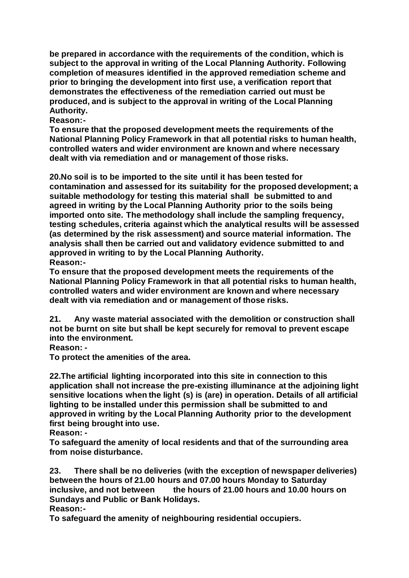**be prepared in accordance with the requirements of the condition, which is subject to the approval in writing of the Local Planning Authority. Following completion of measures identified in the approved remediation scheme and prior to bringing the development into first use, a verification report that demonstrates the effectiveness of the remediation carried out must be produced, and is subject to the approval in writing of the Local Planning Authority.** 

**Reason:-**

**To ensure that the proposed development meets the requirements of the National Planning Policy Framework in that all potential risks to human health, controlled waters and wider environment are known and where necessary dealt with via remediation and or management of those risks.**

**20.No soil is to be imported to the site until it has been tested for contamination and assessed for its suitability for the proposed development; a suitable methodology for testing this material shall be submitted to and agreed in writing by the Local Planning Authority prior to the soils being imported onto site. The methodology shall include the sampling frequency, testing schedules, criteria against which the analytical results will be assessed (as determined by the risk assessment) and source material information. The analysis shall then be carried out and validatory evidence submitted to and approved in writing to by the Local Planning Authority. Reason:-**

**To ensure that the proposed development meets the requirements of the National Planning Policy Framework in that all potential risks to human health, controlled waters and wider environment are known and where necessary dealt with via remediation and or management of those risks.**

**21. Any waste material associated with the demolition or construction shall not be burnt on site but shall be kept securely for removal to prevent escape into the environment.**

**Reason: -**

**To protect the amenities of the area.**

**22.The artificial lighting incorporated into this site in connection to this application shall not increase the pre-existing illuminance at the adjoining light sensitive locations when the light (s) is (are) in operation. Details of all artificial lighting to be installed under this permission shall be submitted to and approved in writing by the Local Planning Authority prior to the development first being brought into use.**

**Reason: -**

**To safeguard the amenity of local residents and that of the surrounding area from noise disturbance.**

**23. There shall be no deliveries (with the exception of newspaper deliveries) between the hours of 21.00 hours and 07.00 hours Monday to Saturday inclusive, and not between the hours of 21.00 hours and 10.00 hours on Sundays and Public or Bank Holidays.** 

**Reason:-**

**To safeguard the amenity of neighbouring residential occupiers.**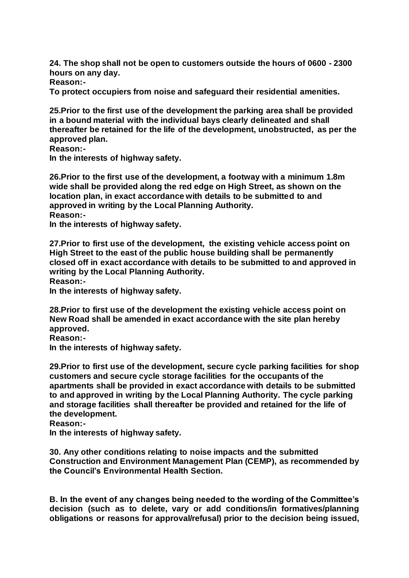**24. The shop shall not be open to customers outside the hours of 0600 - 2300 hours on any day.**

**Reason:-**

**To protect occupiers from noise and safeguard their residential amenities.**

**25.Prior to the first use of the development the parking area shall be provided in a bound material with the individual bays clearly delineated and shall thereafter be retained for the life of the development, unobstructed, as per the approved plan.**

**Reason:-**

**In the interests of highway safety.**

**26.Prior to the first use of the development, a footway with a minimum 1.8m wide shall be provided along the red edge on High Street, as shown on the location plan, in exact accordance with details to be submitted to and approved in writing by the Local Planning Authority. Reason:-**

**In the interests of highway safety.**

**27.Prior to first use of the development, the existing vehicle access point on High Street to the east of the public house building shall be permanently closed off in exact accordance with details to be submitted to and approved in writing by the Local Planning Authority.**

**Reason:-**

**In the interests of highway safety.**

**28.Prior to first use of the development the existing vehicle access point on New Road shall be amended in exact accordance with the site plan hereby approved.**

**Reason:-**

**In the interests of highway safety.**

**29.Prior to first use of the development, secure cycle parking facilities for shop customers and secure cycle storage facilities for the occupants of the apartments shall be provided in exact accordance with details to be submitted to and approved in writing by the Local Planning Authority. The cycle parking and storage facilities shall thereafter be provided and retained for the life of the development.**

**Reason:-**

**In the interests of highway safety.**

**30. Any other conditions relating to noise impacts and the submitted Construction and Environment Management Plan (CEMP), as recommended by the Council's Environmental Health Section.**

**B. In the event of any changes being needed to the wording of the Committee's decision (such as to delete, vary or add conditions/in formatives/planning obligations or reasons for approval/refusal) prior to the decision being issued,**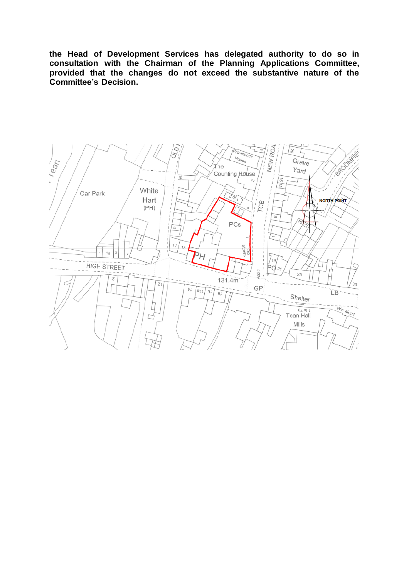**the Head of Development Services has delegated authority to do so in consultation with the Chairman of the Planning Applications Committee, provided that the changes do not exceed the substantive nature of the Committee's Decision.**